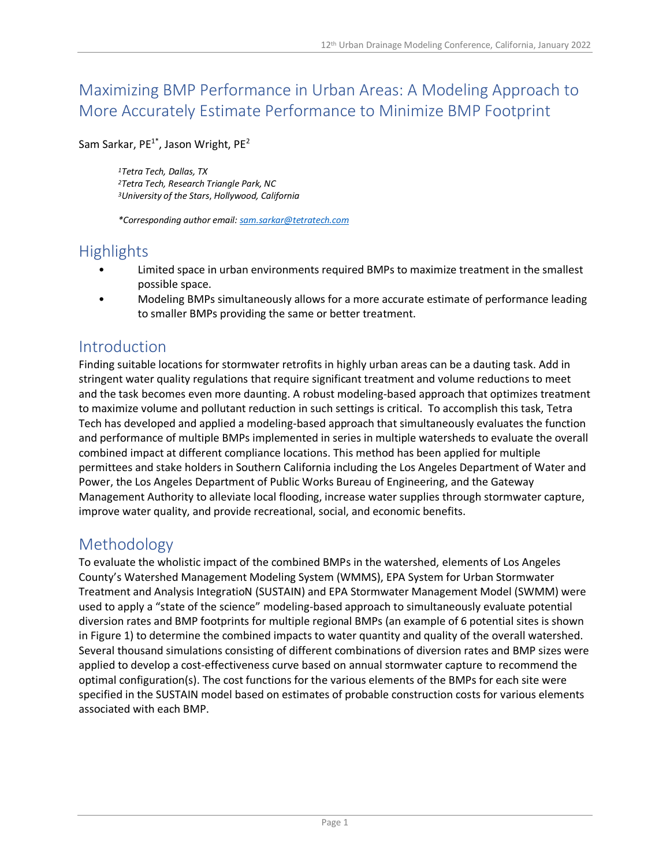### Maximizing BMP Performance in Urban Areas: A Modeling Approach to More Accurately Estimate Performance to Minimize BMP Footprint

Sam Sarkar, PE<sup>1\*</sup>, Jason Wright, PE<sup>2</sup>

*<sup>1</sup>Tetra Tech, Dallas, TX <sup>2</sup>Tetra Tech, Research Triangle Park, NC <sup>3</sup>University of the Stars*, *Hollywood, California*

*\*Corresponding author email: sam.sarkar@tetratech.com*

### **Highlights**

- Limited space in urban environments required BMPs to maximize treatment in the smallest possible space.
- Modeling BMPs simultaneously allows for a more accurate estimate of performance leading to smaller BMPs providing the same or better treatment.

#### Introduction

Finding suitable locations for stormwater retrofits in highly urban areas can be a dauting task. Add in stringent water quality regulations that require significant treatment and volume reductions to meet and the task becomes even more daunting. A robust modeling-based approach that optimizes treatment to maximize volume and pollutant reduction in such settings is critical. To accomplish this task, Tetra Tech has developed and applied a modeling-based approach that simultaneously evaluates the function and performance of multiple BMPs implemented in series in multiple watersheds to evaluate the overall combined impact at different compliance locations. This method has been applied for multiple permittees and stake holders in Southern California including the Los Angeles Department of Water and Power, the Los Angeles Department of Public Works Bureau of Engineering, and the Gateway Management Authority to alleviate local flooding, increase water supplies through stormwater capture, improve water quality, and provide recreational, social, and economic benefits.

### Methodology

To evaluate the wholistic impact of the combined BMPs in the watershed, elements of Los Angeles County's Watershed Management Modeling System (WMMS), EPA System for Urban Stormwater Treatment and Analysis IntegratioN (SUSTAIN) and EPA Stormwater Management Model (SWMM) were used to apply a "state of the science" modeling-based approach to simultaneously evaluate potential diversion rates and BMP footprints for multiple regional BMPs (an example of 6 potential sites is shown in [Figure 1\)](#page-1-0) to determine the combined impacts to water quantity and quality of the overall watershed. Several thousand simulations consisting of different combinations of diversion rates and BMP sizes were applied to develop a cost-effectiveness curve based on annual stormwater capture to recommend the optimal configuration(s). The cost functions for the various elements of the BMPs for each site were specified in the SUSTAIN model based on estimates of probable construction costs for various elements associated with each BMP.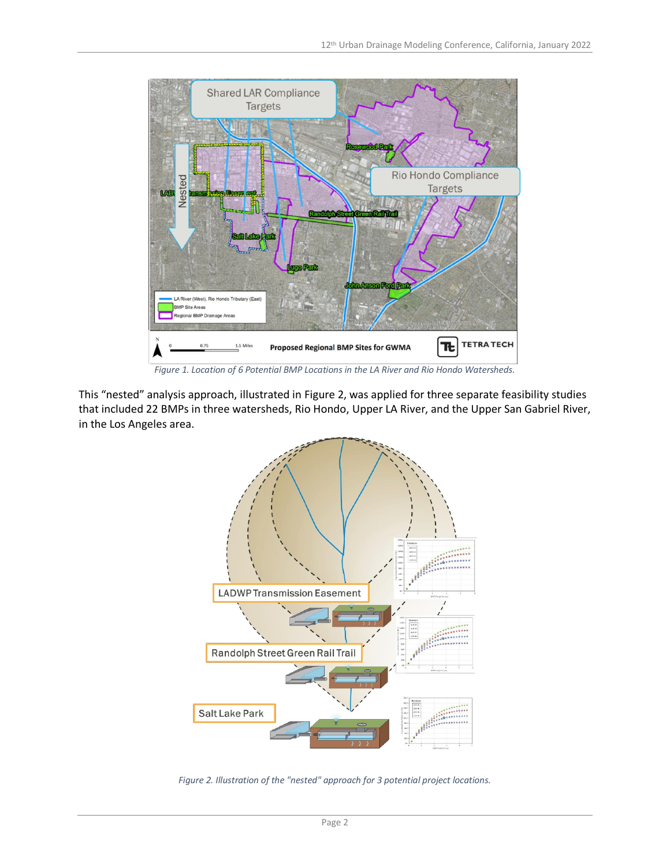

*Figure 1. Location of 6 Potential BMP Locations in the LA River and Rio Hondo Watersheds.*

<span id="page-1-0"></span>This "nested" analysis approach, illustrated in [Figure 2,](#page-1-1) was applied for three separate feasibility studies that included 22 BMPs in three watersheds, Rio Hondo, Upper LA River, and the Upper San Gabriel River, in the Los Angeles area.



<span id="page-1-1"></span>*Figure 2. Illustration of the "nested" approach for 3 potential project locations.*